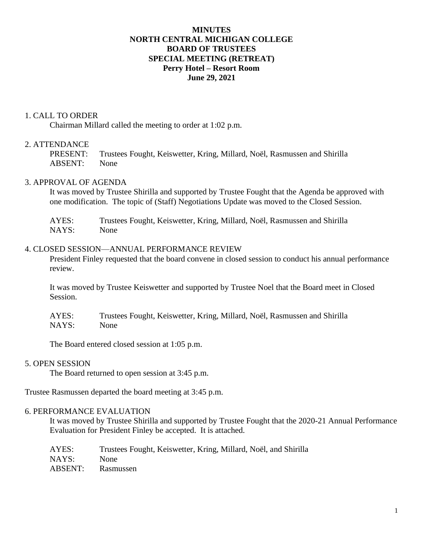# **MINUTES NORTH CENTRAL MICHIGAN COLLEGE BOARD OF TRUSTEES SPECIAL MEETING (RETREAT) Perry Hotel – Resort Room June 29, 2021**

### 1. CALL TO ORDER

Chairman Millard called the meeting to order at 1:02 p.m.

# 2. ATTENDANCE

PRESENT: Trustees Fought, Keiswetter, Kring, Millard, Noël, Rasmussen and Shirilla ABSENT: None

### 3. APPROVAL OF AGENDA

It was moved by Trustee Shirilla and supported by Trustee Fought that the Agenda be approved with one modification. The topic of (Staff) Negotiations Update was moved to the Closed Session.

AYES: Trustees Fought, Keiswetter, Kring, Millard, Noël, Rasmussen and Shirilla NAYS: None

#### 4. CLOSED SESSION—ANNUAL PERFORMANCE REVIEW

President Finley requested that the board convene in closed session to conduct his annual performance review.

It was moved by Trustee Keiswetter and supported by Trustee Noel that the Board meet in Closed Session.

AYES: Trustees Fought, Keiswetter, Kring, Millard, Noël, Rasmussen and Shirilla NAYS: None

The Board entered closed session at 1:05 p.m.

#### 5. OPEN SESSION

The Board returned to open session at 3:45 p.m.

Trustee Rasmussen departed the board meeting at 3:45 p.m.

### 6. PERFORMANCE EVALUATION

It was moved by Trustee Shirilla and supported by Trustee Fought that the 2020-21 Annual Performance Evaluation for President Finley be accepted. It is attached.

| AYES:   | Trustees Fought, Keiswetter, Kring, Millard, Noël, and Shirilla |
|---------|-----------------------------------------------------------------|
| NAYS:   | None.                                                           |
| ABSENT: | Rasmussen                                                       |